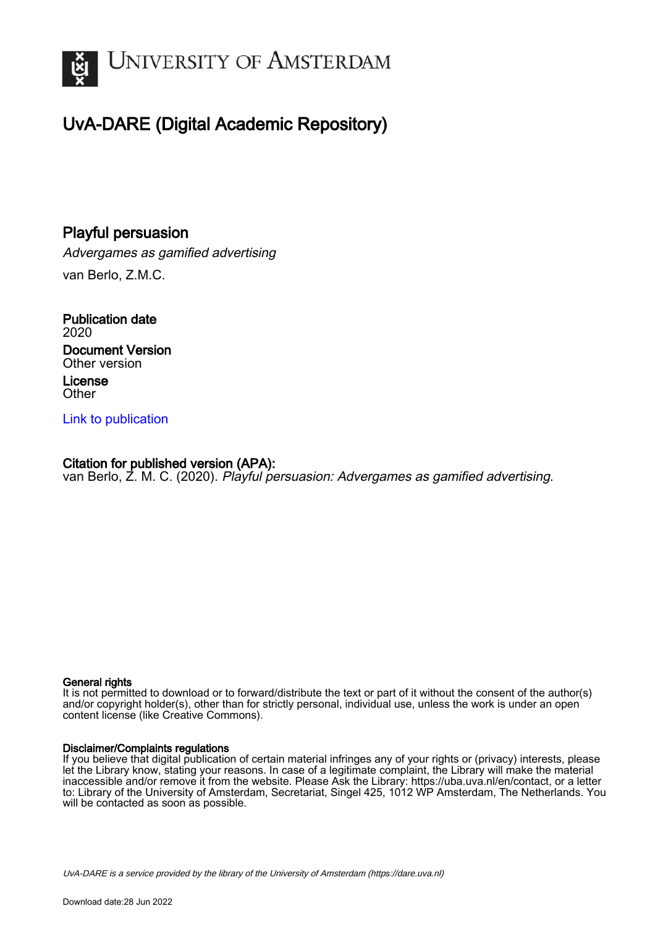

# UvA-DARE (Digital Academic Repository)

# Playful persuasion

Advergames as gamified advertising van Berlo, Z.M.C.

Publication date 2020 Document Version Other version License **Other** 

### [Link to publication](https://dare.uva.nl/personal/pure/en/publications/playful-persuasion(4063525a-196a-47fc-88c3-138bdd2d6eff).html)

## Citation for published version (APA):

van Berlo, Z. M. C. (2020). Playful persuasion: Advergames as gamified advertising.

#### General rights

It is not permitted to download or to forward/distribute the text or part of it without the consent of the author(s) and/or copyright holder(s), other than for strictly personal, individual use, unless the work is under an open content license (like Creative Commons).

#### Disclaimer/Complaints regulations

If you believe that digital publication of certain material infringes any of your rights or (privacy) interests, please let the Library know, stating your reasons. In case of a legitimate complaint, the Library will make the material inaccessible and/or remove it from the website. Please Ask the Library: https://uba.uva.nl/en/contact, or a letter to: Library of the University of Amsterdam, Secretariat, Singel 425, 1012 WP Amsterdam, The Netherlands. You will be contacted as soon as possible.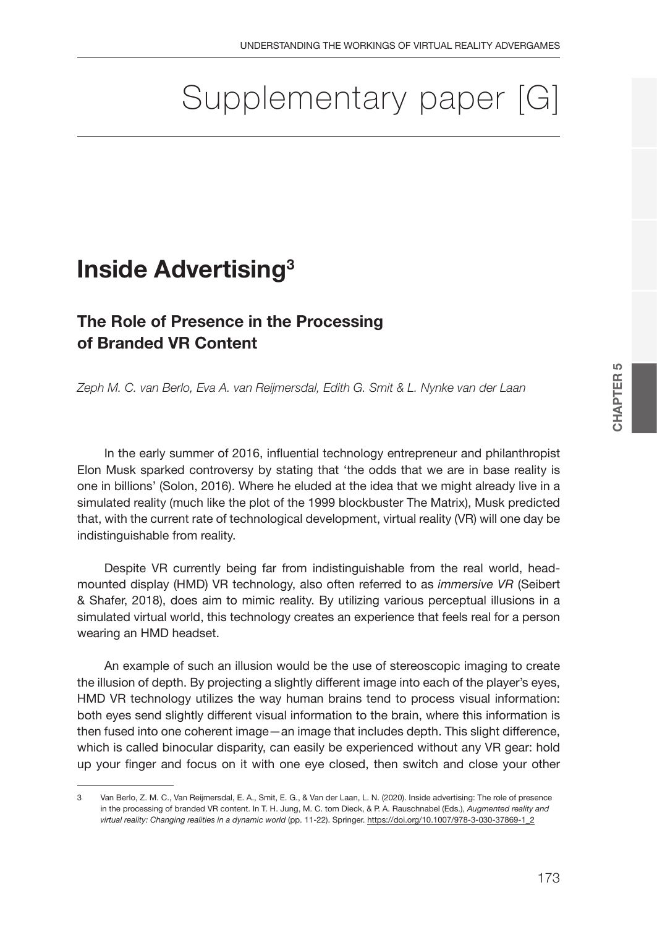# Supplementary paper [G]

# **Inside Advertising3**

# **The Role of Presence in the Processing of Branded VR Content**

*Zeph M. C. van Berlo, Eva A. van Reijmersdal, Edith G. Smit & L. Nynke van der Laan*

In the early summer of 2016, influential technology entrepreneur and philanthropist Elon Musk sparked controversy by stating that 'the odds that we are in base reality is one in billions' (Solon, 2016). Where he eluded at the idea that we might already live in a simulated reality (much like the plot of the 1999 blockbuster The Matrix), Musk predicted that, with the current rate of technological development, virtual reality (VR) will one day be indistinguishable from reality.

Despite VR currently being far from indistinguishable from the real world, headmounted display (HMD) VR technology, also often referred to as *immersive VR* (Seibert & Shafer, 2018), does aim to mimic reality. By utilizing various perceptual illusions in a simulated virtual world, this technology creates an experience that feels real for a person wearing an HMD headset.

An example of such an illusion would be the use of stereoscopic imaging to create the illusion of depth. By projecting a slightly different image into each of the player's eyes, HMD VR technology utilizes the way human brains tend to process visual information: both eyes send slightly different visual information to the brain, where this information is then fused into one coherent image—an image that includes depth. This slight difference, which is called binocular disparity, can easily be experienced without any VR gear: hold up your finger and focus on it with one eye closed, then switch and close your other

<sup>3</sup> Van Berlo, Z. M. C., Van Reijmersdal, E. A., Smit, E. G., & Van der Laan, L. N. (2020). Inside advertising: The role of presence in the processing of branded VR content. In T. H. Jung, M. C. tom Dieck, & P. A. Rauschnabel (Eds.), *Augmented reality and virtual reality: Changing realities in a dynamic world* (pp. 11-22). Springer. https://doi.org/10.1007/978-3-030-37869-1\_2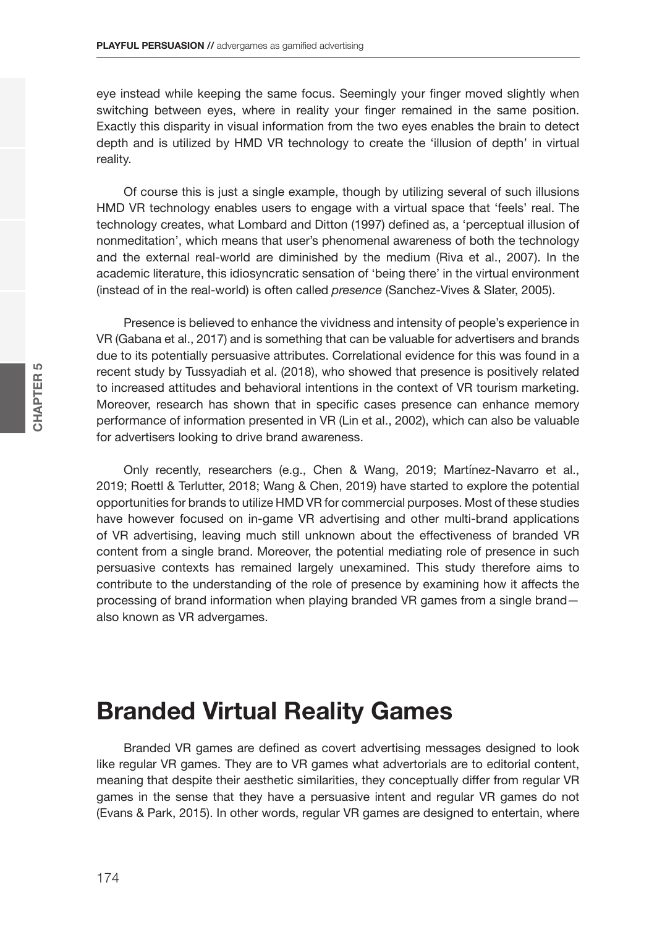eye instead while keeping the same focus. Seemingly your finger moved slightly when switching between eyes, where in reality your finger remained in the same position. Exactly this disparity in visual information from the two eyes enables the brain to detect depth and is utilized by HMD VR technology to create the 'illusion of depth' in virtual reality.

Of course this is just a single example, though by utilizing several of such illusions HMD VR technology enables users to engage with a virtual space that 'feels' real. The technology creates, what Lombard and Ditton (1997) defined as, a 'perceptual illusion of nonmeditation', which means that user's phenomenal awareness of both the technology and the external real-world are diminished by the medium (Riva et al., 2007). In the academic literature, this idiosyncratic sensation of 'being there' in the virtual environment (instead of in the real-world) is often called *presence* (Sanchez-Vives & Slater, 2005).

Presence is believed to enhance the vividness and intensity of people's experience in VR (Gabana et al., 2017) and is something that can be valuable for advertisers and brands due to its potentially persuasive attributes. Correlational evidence for this was found in a recent study by Tussyadiah et al. (2018), who showed that presence is positively related to increased attitudes and behavioral intentions in the context of VR tourism marketing. Moreover, research has shown that in specific cases presence can enhance memory performance of information presented in VR (Lin et al., 2002), which can also be valuable for advertisers looking to drive brand awareness.

Only recently, researchers (e.g., Chen & Wang, 2019; Martínez-Navarro et al., 2019; Roettl & Terlutter, 2018; Wang & Chen, 2019) have started to explore the potential opportunities for brands to utilize HMD VR for commercial purposes. Most of these studies have however focused on in-game VR advertising and other multi-brand applications of VR advertising, leaving much still unknown about the effectiveness of branded VR content from a single brand. Moreover, the potential mediating role of presence in such persuasive contexts has remained largely unexamined. This study therefore aims to contribute to the understanding of the role of presence by examining how it affects the processing of brand information when playing branded VR games from a single brand also known as VR advergames.

# **Branded Virtual Reality Games**

Branded VR games are defined as covert advertising messages designed to look like regular VR games. They are to VR games what advertorials are to editorial content, meaning that despite their aesthetic similarities, they conceptually differ from regular VR games in the sense that they have a persuasive intent and regular VR games do not (Evans & Park, 2015). In other words, regular VR games are designed to entertain, where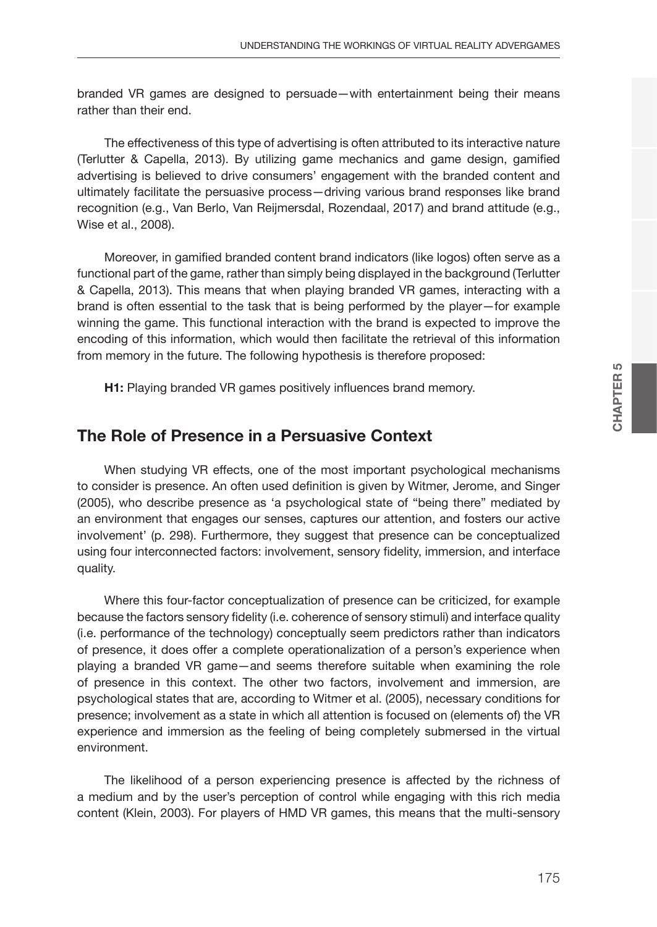branded VR games are designed to persuade—with entertainment being their means rather than their end.

The effectiveness of this type of advertising is often attributed to its interactive nature (Terlutter & Capella, 2013). By utilizing game mechanics and game design, gamified advertising is believed to drive consumers' engagement with the branded content and ultimately facilitate the persuasive process—driving various brand responses like brand recognition (e.g., Van Berlo, Van Reijmersdal, Rozendaal, 2017) and brand attitude (e.g., Wise et al., 2008).

Moreover, in gamified branded content brand indicators (like logos) often serve as a functional part of the game, rather than simply being displayed in the background (Terlutter & Capella, 2013). This means that when playing branded VR games, interacting with a brand is often essential to the task that is being performed by the player—for example winning the game. This functional interaction with the brand is expected to improve the encoding of this information, which would then facilitate the retrieval of this information from memory in the future. The following hypothesis is therefore proposed:

**H1:** Playing branded VR games positively influences brand memory.

### **The Role of Presence in a Persuasive Context**

When studying VR effects, one of the most important psychological mechanisms to consider is presence. An often used definition is given by Witmer, Jerome, and Singer (2005), who describe presence as 'a psychological state of "being there" mediated by an environment that engages our senses, captures our attention, and fosters our active involvement' (p. 298). Furthermore, they suggest that presence can be conceptualized using four interconnected factors: involvement, sensory fidelity, immersion, and interface quality.

Where this four-factor conceptualization of presence can be criticized, for example because the factors sensory fidelity (i.e. coherence of sensory stimuli) and interface quality (i.e. performance of the technology) conceptually seem predictors rather than indicators of presence, it does offer a complete operationalization of a person's experience when playing a branded VR game—and seems therefore suitable when examining the role of presence in this context. The other two factors, involvement and immersion, are psychological states that are, according to Witmer et al. (2005), necessary conditions for presence; involvement as a state in which all attention is focused on (elements of) the VR experience and immersion as the feeling of being completely submersed in the virtual environment.

The likelihood of a person experiencing presence is affected by the richness of a medium and by the user's perception of control while engaging with this rich media content (Klein, 2003). For players of HMD VR games, this means that the multi-sensory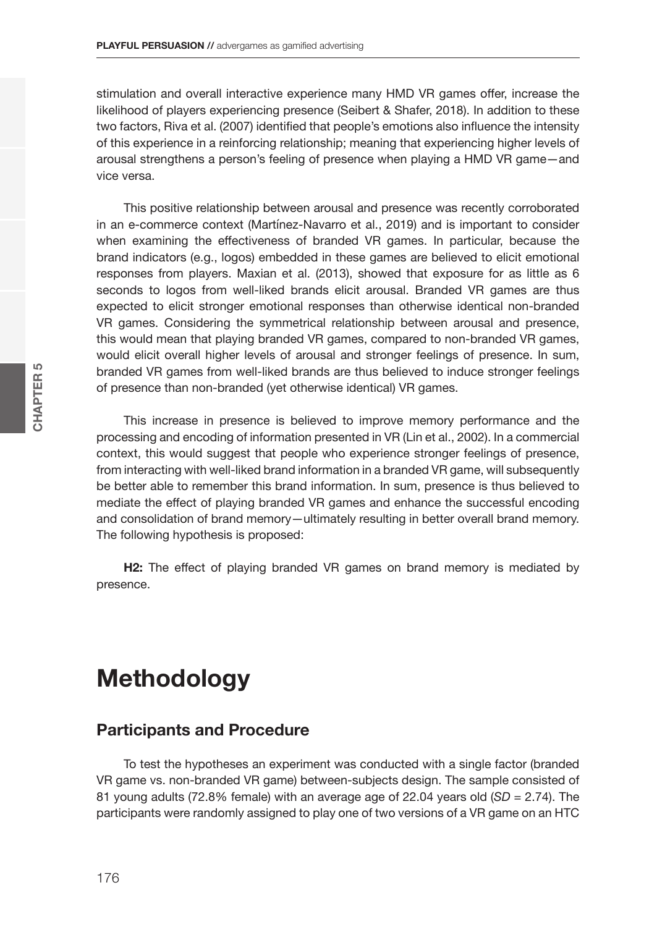stimulation and overall interactive experience many HMD VR games offer, increase the likelihood of players experiencing presence (Seibert & Shafer, 2018). In addition to these two factors, Riva et al. (2007) identified that people's emotions also influence the intensity of this experience in a reinforcing relationship; meaning that experiencing higher levels of arousal strengthens a person's feeling of presence when playing a HMD VR game—and vice versa.

This positive relationship between arousal and presence was recently corroborated in an e-commerce context (Martínez-Navarro et al., 2019) and is important to consider when examining the effectiveness of branded VR games. In particular, because the brand indicators (e.g., logos) embedded in these games are believed to elicit emotional responses from players. Maxian et al. (2013), showed that exposure for as little as 6 seconds to logos from well-liked brands elicit arousal. Branded VR games are thus expected to elicit stronger emotional responses than otherwise identical non-branded VR games. Considering the symmetrical relationship between arousal and presence, this would mean that playing branded VR games, compared to non-branded VR games, would elicit overall higher levels of arousal and stronger feelings of presence. In sum, branded VR games from well-liked brands are thus believed to induce stronger feelings of presence than non-branded (yet otherwise identical) VR games.

This increase in presence is believed to improve memory performance and the processing and encoding of information presented in VR (Lin et al., 2002). In a commercial context, this would suggest that people who experience stronger feelings of presence, from interacting with well-liked brand information in a branded VR game, will subsequently be better able to remember this brand information. In sum, presence is thus believed to mediate the effect of playing branded VR games and enhance the successful encoding and consolidation of brand memory—ultimately resulting in better overall brand memory. The following hypothesis is proposed:

**H2:** The effect of playing branded VR games on brand memory is mediated by presence.

# **Methodology**

### **Participants and Procedure**

To test the hypotheses an experiment was conducted with a single factor (branded VR game vs. non-branded VR game) between-subjects design. The sample consisted of 81 young adults (72.8% female) with an average age of 22.04 years old (*SD* = 2.74). The participants were randomly assigned to play one of two versions of a VR game on an HTC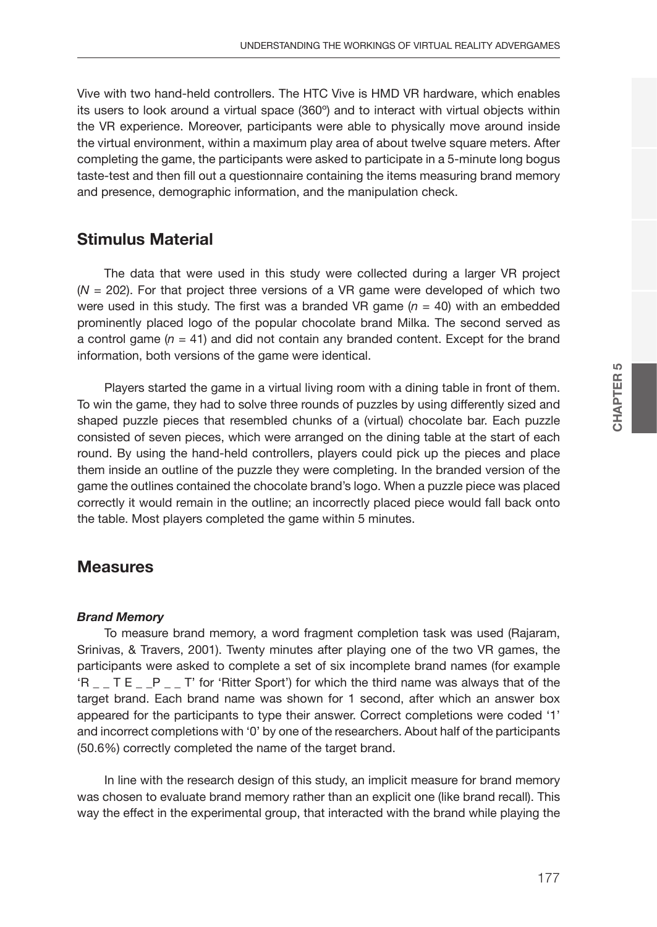Vive with two hand-held controllers. The HTC Vive is HMD VR hardware, which enables its users to look around a virtual space (360º) and to interact with virtual objects within the VR experience. Moreover, participants were able to physically move around inside the virtual environment, within a maximum play area of about twelve square meters. After completing the game, the participants were asked to participate in a 5-minute long bogus taste-test and then fill out a questionnaire containing the items measuring brand memory and presence, demographic information, and the manipulation check.

### **Stimulus Material**

The data that were used in this study were collected during a larger VR project (*N* = 202). For that project three versions of a VR game were developed of which two were used in this study. The first was a branded VR game (*n* = 40) with an embedded prominently placed logo of the popular chocolate brand Milka. The second served as a control game  $(n = 41)$  and did not contain any branded content. Except for the brand information, both versions of the game were identical.

Players started the game in a virtual living room with a dining table in front of them. To win the game, they had to solve three rounds of puzzles by using differently sized and shaped puzzle pieces that resembled chunks of a (virtual) chocolate bar. Each puzzle consisted of seven pieces, which were arranged on the dining table at the start of each round. By using the hand-held controllers, players could pick up the pieces and place them inside an outline of the puzzle they were completing. In the branded version of the game the outlines contained the chocolate brand's logo. When a puzzle piece was placed correctly it would remain in the outline; an incorrectly placed piece would fall back onto the table. Most players completed the game within 5 minutes.

## **Measures**

#### *Brand Memory*

To measure brand memory, a word fragment completion task was used (Rajaram, Srinivas, & Travers, 2001). Twenty minutes after playing one of the two VR games, the participants were asked to complete a set of six incomplete brand names (for example 'R \_ \_ T E \_ \_P \_ \_ T' for 'Ritter Sport') for which the third name was always that of the target brand. Each brand name was shown for 1 second, after which an answer box appeared for the participants to type their answer. Correct completions were coded '1' and incorrect completions with '0' by one of the researchers. About half of the participants (50.6%) correctly completed the name of the target brand.

In line with the research design of this study, an implicit measure for brand memory was chosen to evaluate brand memory rather than an explicit one (like brand recall). This way the effect in the experimental group, that interacted with the brand while playing the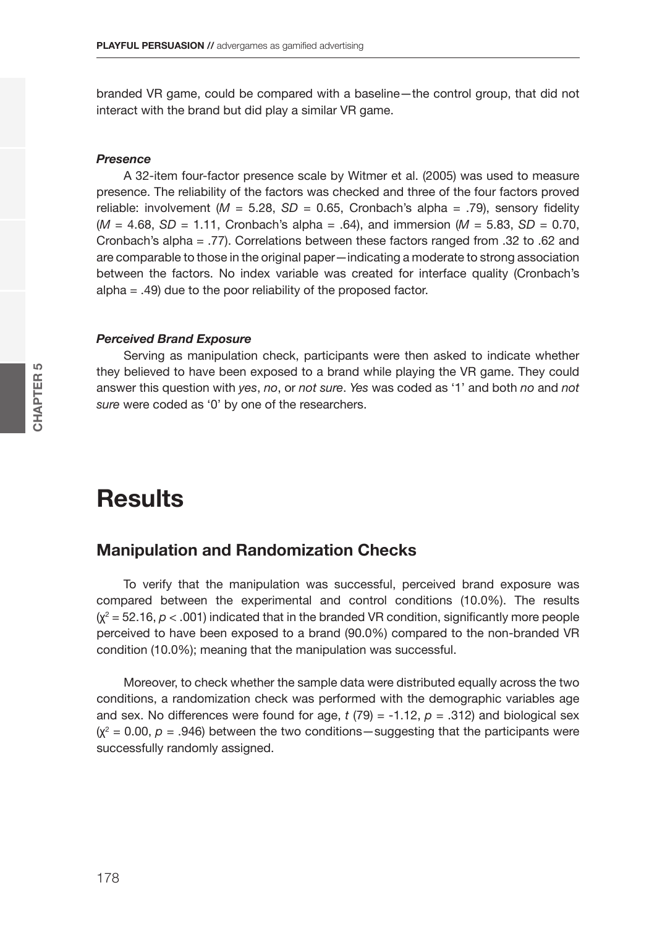branded VR game, could be compared with a baseline—the control group, that did not interact with the brand but did play a similar VR game.

#### *Presence*

A 32-item four-factor presence scale by Witmer et al. (2005) was used to measure presence. The reliability of the factors was checked and three of the four factors proved reliable: involvement  $(M = 5.28, SD = 0.65,$  Cronbach's alpha = .79), sensory fidelity  $(M = 4.68, SD = 1.11, Cronbach's alpha = .64), and immersion (M = 5.83, SD = 0.70,$ Cronbach's alpha = .77). Correlations between these factors ranged from .32 to .62 and are comparable to those in the original paper—indicating a moderate to strong association between the factors. No index variable was created for interface quality (Cronbach's alpha = .49) due to the poor reliability of the proposed factor.

#### *Perceived Brand Exposure*

Serving as manipulation check, participants were then asked to indicate whether they believed to have been exposed to a brand while playing the VR game. They could answer this question with *yes*, *no*, or *not sure*. *Yes* was coded as '1' and both *no* and *not sure* were coded as '0' by one of the researchers.

# **Results**

#### **Manipulation and Randomization Checks**

To verify that the manipulation was successful, perceived brand exposure was compared between the experimental and control conditions (10.0%). The results  $(x^2 = 52.16, p < .001)$  indicated that in the branded VR condition, significantly more people perceived to have been exposed to a brand (90.0%) compared to the non-branded VR condition (10.0%); meaning that the manipulation was successful.

Moreover, to check whether the sample data were distributed equally across the two conditions, a randomization check was performed with the demographic variables age and sex. No differences were found for age,  $t(79) = -1.12$ ,  $p = .312$ ) and biological sex  $(x^2 = 0.00, p = .946)$  between the two conditions—suggesting that the participants were successfully randomly assigned.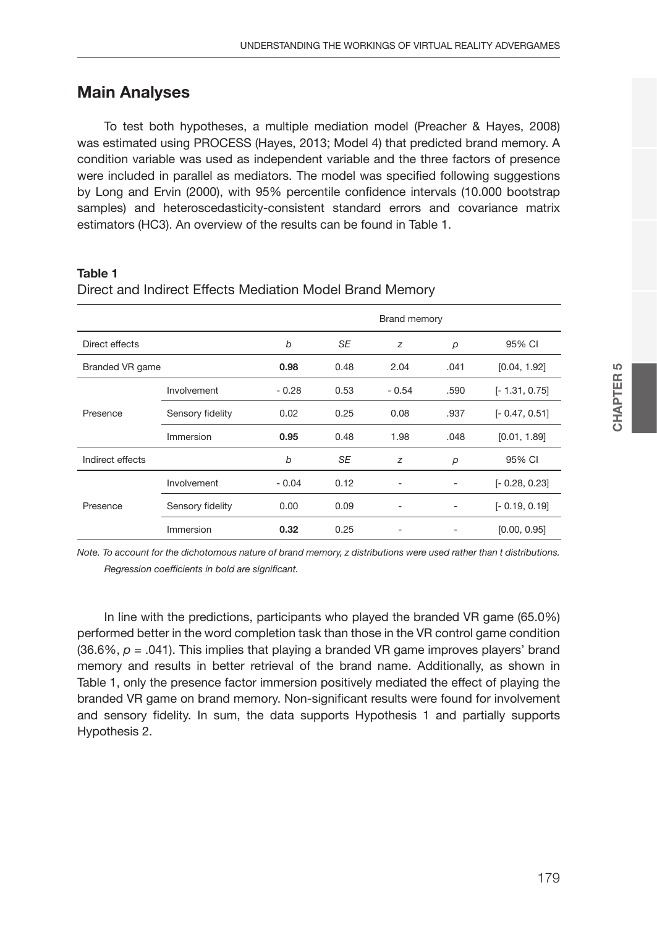## **Main Analyses**

To test both hypotheses, a multiple mediation model (Preacher & Hayes, 2008) was estimated using PROCESS (Hayes, 2013; Model 4) that predicted brand memory. A condition variable was used as independent variable and the three factors of presence were included in parallel as mediators. The model was specified following suggestions by Long and Ervin (2000), with 95% percentile confidence intervals (10.000 bootstrap samples) and heteroscedasticity-consistent standard errors and covariance matrix estimators (HC3). An overview of the results can be found in Table 1.

#### **Table 1**

|                  |                  |         | Brand memory |                          |                |                 |  |
|------------------|------------------|---------|--------------|--------------------------|----------------|-----------------|--|
| Direct effects   |                  | b       | <b>SE</b>    | z                        | p              | 95% CI          |  |
| Branded VR game  |                  | 0.98    | 0.48         | 2.04                     | .041           | [0.04, 1.92]    |  |
| Presence         | Involvement      | $-0.28$ | 0.53         | $-0.54$                  | .590           | $[-1.31, 0.75]$ |  |
|                  | Sensory fidelity | 0.02    | 0.25         | 0.08                     | .937           | $[-0.47, 0.51]$ |  |
|                  | Immersion        | 0.95    | 0.48         | 1.98                     | .048           | [0.01, 1.89]    |  |
| Indirect effects |                  | b       | <b>SE</b>    | z                        | $\overline{p}$ | 95% CI          |  |
| Presence         | Involvement      | $-0.04$ | 0.12         |                          |                | $[-0.28, 0.23]$ |  |
|                  | Sensory fidelity | 0.00    | 0.09         | $\overline{\phantom{a}}$ | ٠              | $[-0.19, 0.19]$ |  |
|                  | Immersion        | 0.32    | 0.25         |                          |                | [0.00, 0.95]    |  |

#### Direct and Indirect Effects Mediation Model Brand Memory

*Note. To account for the dichotomous nature of brand memory, z distributions were used rather than t distributions. Regression coefficients in bold are significant.*

In line with the predictions, participants who played the branded VR game (65.0%) performed better in the word completion task than those in the VR control game condition  $(36.6\%, p = .041)$ . This implies that playing a branded VR game improves players' brand memory and results in better retrieval of the brand name. Additionally, as shown in Table 1, only the presence factor immersion positively mediated the effect of playing the branded VR game on brand memory. Non-significant results were found for involvement and sensory fidelity. In sum, the data supports Hypothesis 1 and partially supports Hypothesis 2.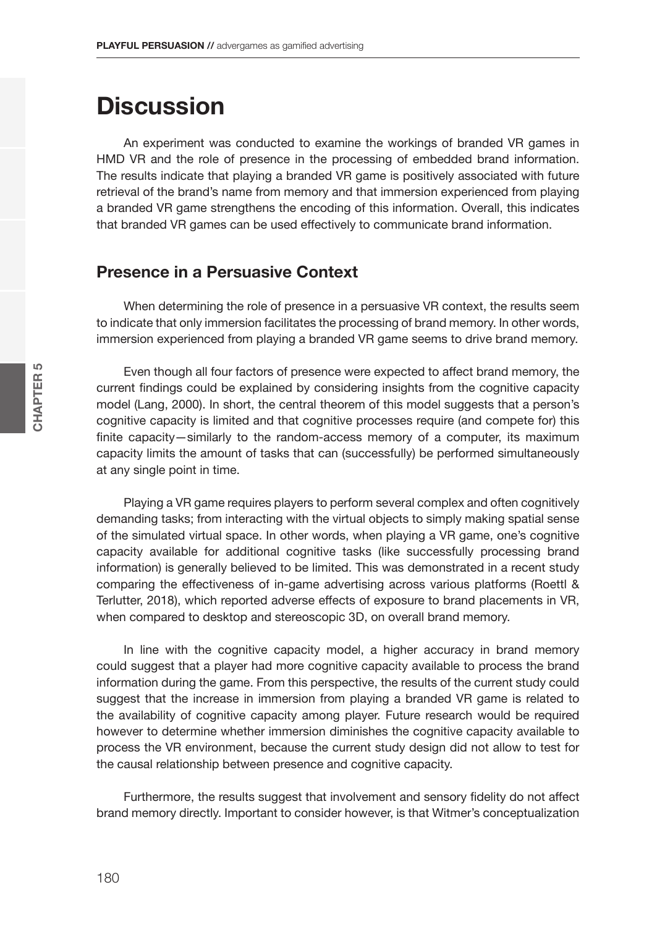# **Discussion**

An experiment was conducted to examine the workings of branded VR games in HMD VR and the role of presence in the processing of embedded brand information. The results indicate that playing a branded VR game is positively associated with future retrieval of the brand's name from memory and that immersion experienced from playing a branded VR game strengthens the encoding of this information. Overall, this indicates that branded VR games can be used effectively to communicate brand information.

#### **Presence in a Persuasive Context**

When determining the role of presence in a persuasive VR context, the results seem to indicate that only immersion facilitates the processing of brand memory. In other words, immersion experienced from playing a branded VR game seems to drive brand memory.

Even though all four factors of presence were expected to affect brand memory, the current findings could be explained by considering insights from the cognitive capacity model (Lang, 2000). In short, the central theorem of this model suggests that a person's cognitive capacity is limited and that cognitive processes require (and compete for) this finite capacity—similarly to the random-access memory of a computer, its maximum capacity limits the amount of tasks that can (successfully) be performed simultaneously at any single point in time.

Playing a VR game requires players to perform several complex and often cognitively demanding tasks; from interacting with the virtual objects to simply making spatial sense of the simulated virtual space. In other words, when playing a VR game, one's cognitive capacity available for additional cognitive tasks (like successfully processing brand information) is generally believed to be limited. This was demonstrated in a recent study comparing the effectiveness of in-game advertising across various platforms (Roettl & Terlutter, 2018), which reported adverse effects of exposure to brand placements in VR, when compared to desktop and stereoscopic 3D, on overall brand memory.

In line with the cognitive capacity model, a higher accuracy in brand memory could suggest that a player had more cognitive capacity available to process the brand information during the game. From this perspective, the results of the current study could suggest that the increase in immersion from playing a branded VR game is related to the availability of cognitive capacity among player. Future research would be required however to determine whether immersion diminishes the cognitive capacity available to process the VR environment, because the current study design did not allow to test for the causal relationship between presence and cognitive capacity.

Furthermore, the results suggest that involvement and sensory fidelity do not affect brand memory directly. Important to consider however, is that Witmer's conceptualization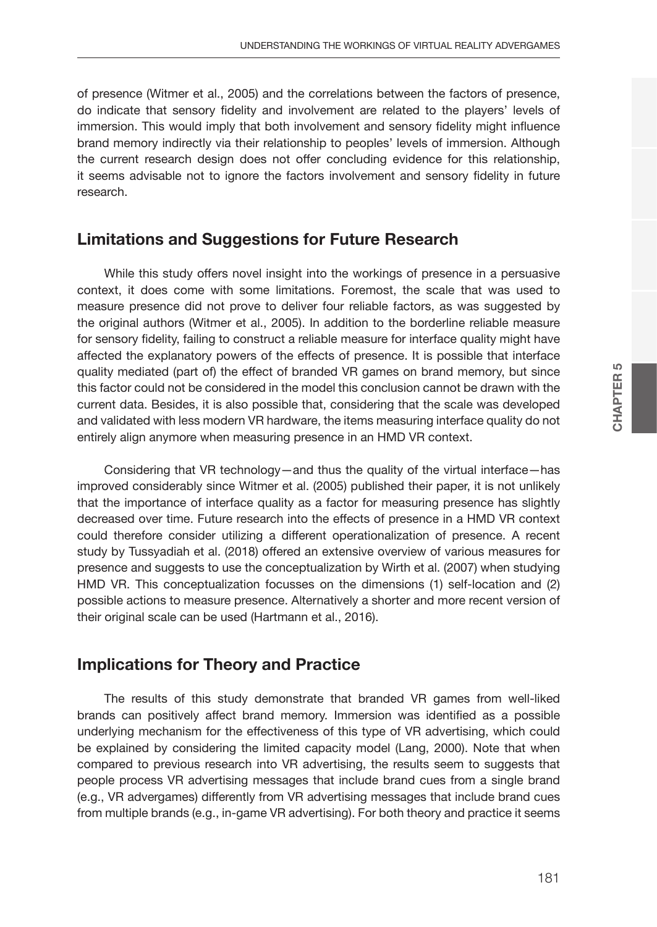of presence (Witmer et al., 2005) and the correlations between the factors of presence, do indicate that sensory fidelity and involvement are related to the players' levels of immersion. This would imply that both involvement and sensory fidelity might influence brand memory indirectly via their relationship to peoples' levels of immersion. Although the current research design does not offer concluding evidence for this relationship, it seems advisable not to ignore the factors involvement and sensory fidelity in future research.

#### **Limitations and Suggestions for Future Research**

While this study offers novel insight into the workings of presence in a persuasive context, it does come with some limitations. Foremost, the scale that was used to measure presence did not prove to deliver four reliable factors, as was suggested by the original authors (Witmer et al., 2005). In addition to the borderline reliable measure for sensory fidelity, failing to construct a reliable measure for interface quality might have affected the explanatory powers of the effects of presence. It is possible that interface quality mediated (part of) the effect of branded VR games on brand memory, but since this factor could not be considered in the model this conclusion cannot be drawn with the current data. Besides, it is also possible that, considering that the scale was developed and validated with less modern VR hardware, the items measuring interface quality do not entirely align anymore when measuring presence in an HMD VR context.

Considering that VR technology—and thus the quality of the virtual interface—has improved considerably since Witmer et al. (2005) published their paper, it is not unlikely that the importance of interface quality as a factor for measuring presence has slightly decreased over time. Future research into the effects of presence in a HMD VR context could therefore consider utilizing a different operationalization of presence. A recent study by Tussyadiah et al. (2018) offered an extensive overview of various measures for presence and suggests to use the conceptualization by Wirth et al. (2007) when studying HMD VR. This conceptualization focusses on the dimensions (1) self-location and (2) possible actions to measure presence. Alternatively a shorter and more recent version of their original scale can be used (Hartmann et al., 2016).

#### **Implications for Theory and Practice**

The results of this study demonstrate that branded VR games from well-liked brands can positively affect brand memory. Immersion was identified as a possible underlying mechanism for the effectiveness of this type of VR advertising, which could be explained by considering the limited capacity model (Lang, 2000). Note that when compared to previous research into VR advertising, the results seem to suggests that people process VR advertising messages that include brand cues from a single brand (e.g., VR advergames) differently from VR advertising messages that include brand cues from multiple brands (e.g., in-game VR advertising). For both theory and practice it seems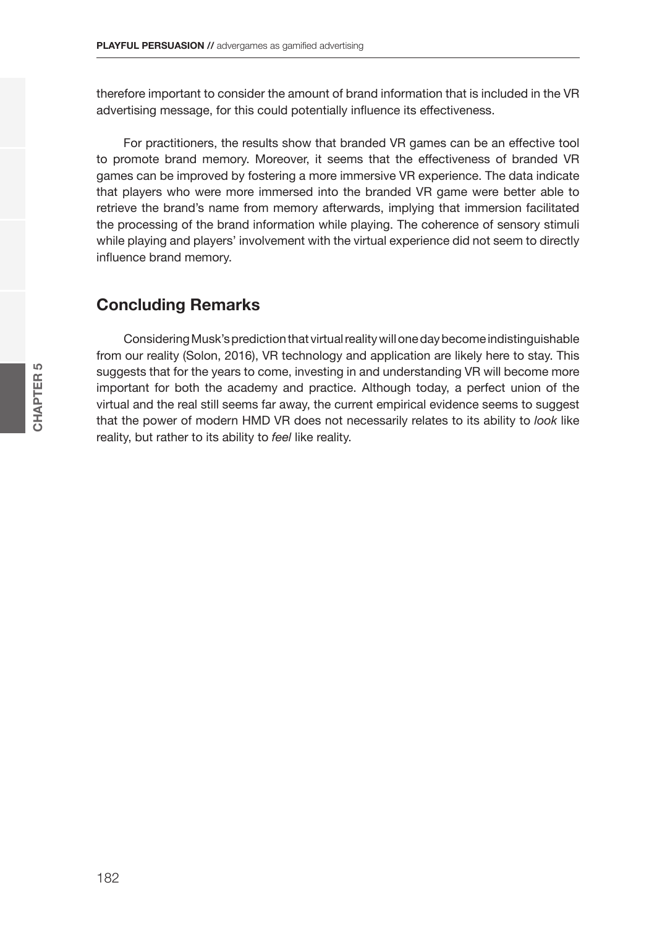therefore important to consider the amount of brand information that is included in the VR advertising message, for this could potentially influence its effectiveness.

For practitioners, the results show that branded VR games can be an effective tool to promote brand memory. Moreover, it seems that the effectiveness of branded VR games can be improved by fostering a more immersive VR experience. The data indicate that players who were more immersed into the branded VR game were better able to retrieve the brand's name from memory afterwards, implying that immersion facilitated the processing of the brand information while playing. The coherence of sensory stimuli while playing and players' involvement with the virtual experience did not seem to directly influence brand memory.

### **Concluding Remarks**

Considering Musk's prediction that virtual reality will one day become indistinguishable from our reality (Solon, 2016), VR technology and application are likely here to stay. This suggests that for the years to come, investing in and understanding VR will become more important for both the academy and practice. Although today, a perfect union of the virtual and the real still seems far away, the current empirical evidence seems to suggest that the power of modern HMD VR does not necessarily relates to its ability to *look* like reality, but rather to its ability to *feel* like reality.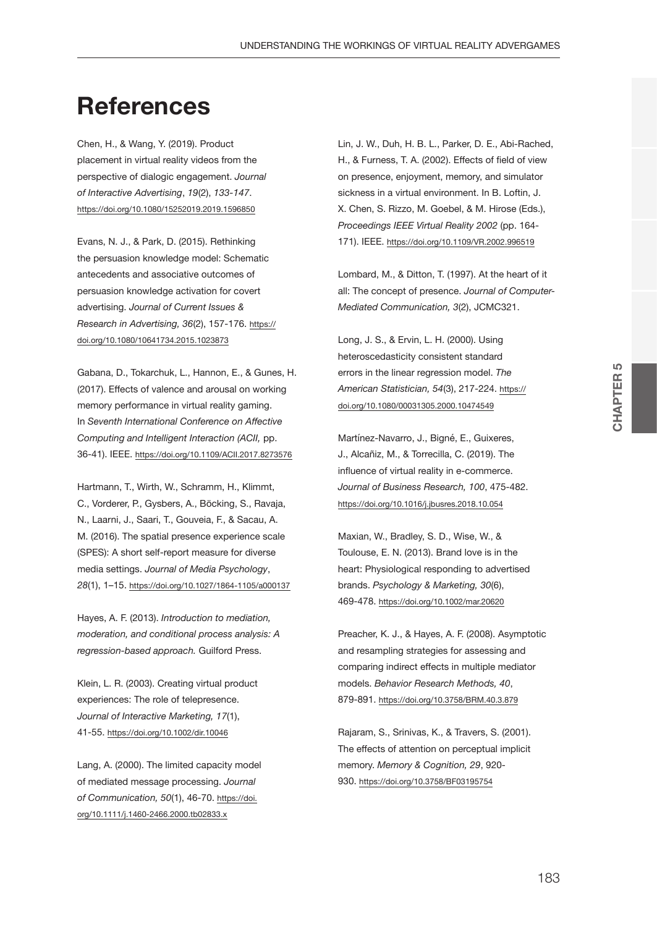# **References**

Chen, H., & Wang, Y. (2019). Product placement in virtual reality videos from the perspective of dialogic engagement. *Journal of Interactive Advertising*, *19*(2), *133-147*. <https://doi.org/10.1080/15252019.2019.1596850>

Evans, N. J., & Park, D. (2015). Rethinking the persuasion knowledge model: Schematic antecedents and associative outcomes of persuasion knowledge activation for covert advertising. *Journal of Current Issues & Research in Advertising, 36*(2), 157-176. [https://](https://doi.org/10.1080/10641734.2015.1023873) [doi.org/10.1080/10641734.2015.1023873](https://doi.org/10.1080/10641734.2015.1023873)

Gabana, D., Tokarchuk, L., Hannon, E., & Gunes, H. (2017). Effects of valence and arousal on working memory performance in virtual reality gaming. In *Seventh International Conference on Affective Computing and Intelligent Interaction (ACII,* pp. 36-41). IEEE.<https://doi.org/10.1109/ACII.2017.8273576>

Hartmann, T., Wirth, W., Schramm, H., Klimmt, C., Vorderer, P., Gysbers, A., Böcking, S., Ravaja, N., Laarni, J., Saari, T., Gouveia, F., & Sacau, A. M. (2016). The spatial presence experience scale (SPES): A short self-report measure for diverse media settings. *Journal of Media Psychology*, *28*(1), 1–15. <https://doi.org/10.1027/1864-1105/a000137>

Hayes, A. F. (2013). *Introduction to mediation, moderation, and conditional process analysis: A regression-based approach.* Guilford Press.

Klein, L. R. (2003). Creating virtual product experiences: The role of telepresence. *Journal of Interactive Marketing, 17*(1), 41-55. <https://doi.org/10.1002/dir.10046>

Lang, A. (2000). The limited capacity model of mediated message processing. *Journal of Communication, 50*(1), 46-70. [https://doi.](https://doi.org/10.1111/j.1460-2466.2000.tb02833.x) [org/10.1111/j.1460-2466.2000.tb02833.x](https://doi.org/10.1111/j.1460-2466.2000.tb02833.x)

Lin, J. W., Duh, H. B. L., Parker, D. E., Abi-Rached, H., & Furness, T. A. (2002). Effects of field of view on presence, enjoyment, memory, and simulator sickness in a virtual environment. In B. Loftin, J. X. Chen, S. Rizzo, M. Goebel, & M. Hirose (Eds.), *Proceedings IEEE Virtual Reality 2002* (pp. 164- 171). IEEE. <https://doi.org/10.1109/VR.2002.996519>

Lombard, M., & Ditton, T. (1997). At the heart of it all: The concept of presence. *Journal of Computer-Mediated Communication, 3*(2), JCMC321.

Long, J. S., & Ervin, L. H. (2000). Using heteroscedasticity consistent standard errors in the linear regression model. *The American Statistician, 54*(3), 217-224. [https://](https://doi.org/10.1080/00031305.2000.10474549) [doi.org/10.1080/00031305.2000.10474549](https://doi.org/10.1080/00031305.2000.10474549)

Martínez-Navarro, J., Bigné, E., Guixeres, J., Alcañiz, M., & Torrecilla, C. (2019). The influence of virtual reality in e-commerce. *Journal of Business Research, 100*, 475-482. <https://doi.org/10.1016/j.jbusres.2018.10.054>

Maxian, W., Bradley, S. D., Wise, W., & Toulouse, E. N. (2013). Brand love is in the heart: Physiological responding to advertised brands. *Psychology & Marketing, 30*(6), 469-478. <https://doi.org/10.1002/mar.20620>

Preacher, K. J., & Hayes, A. F. (2008). Asymptotic and resampling strategies for assessing and comparing indirect effects in multiple mediator models. *Behavior Research Methods, 40*, 879-891. <https://doi.org/10.3758/BRM.40.3.879>

Rajaram, S., Srinivas, K., & Travers, S. (2001). The effects of attention on perceptual implicit memory. *Memory & Cognition, 29*, 920- 930. <https://doi.org/10.3758/BF03195754>